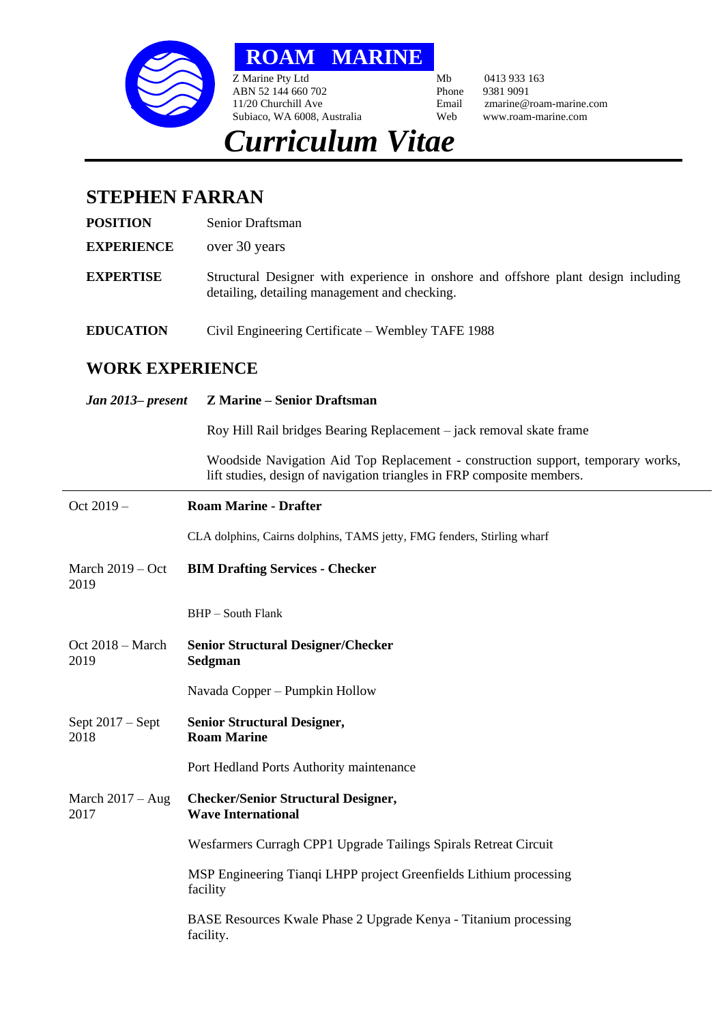

**ROAM MARINE**

Z Marine Pty Ltd Mb 0413 933 163<br>ABN 52 144 660 702 Phone 9381 9091 ABN 52 144 660 702<br>11/20 Churchill Ave Subiaco, WA 6008, Australia

Email zmarine@roam-marine.com<br>Web www.roam-marine.com

## *Curriculum Vitae*

## **STEPHEN FARRAN**

**POSITION** Senior Draftsman

**EXPERIENCE** over 30 years

- **EXPERTISE** Structural Designer with experience in onshore and offshore plant design including detailing, detailing management and checking.
- **EDUCATION** Civil Engineering Certificate Wembley TAFE 1988

## **WORK EXPERIENCE**

## *Jan 2013– present* **Z Marine – Senior Draftsman**

Roy Hill Rail bridges Bearing Replacement – jack removal skate frame

Woodside Navigation Aid Top Replacement - construction support, temporary works, lift studies, design of navigation triangles in FRP composite members.

| Oct 2019-                  | <b>Roam Marine - Drafter</b>                                                   |
|----------------------------|--------------------------------------------------------------------------------|
|                            | CLA dolphins, Cairns dolphins, TAMS jetty, FMG fenders, Stirling wharf         |
| March $2019 - Oct$<br>2019 | <b>BIM Drafting Services - Checker</b>                                         |
|                            | $BHP - South Flank$                                                            |
| Oct $2018 - March$<br>2019 | <b>Senior Structural Designer/Checker</b><br>Sedgman                           |
|                            | Navada Copper – Pumpkin Hollow                                                 |
| Sept $2017 -$ Sept<br>2018 | <b>Senior Structural Designer,</b><br><b>Roam Marine</b>                       |
|                            | Port Hedland Ports Authority maintenance                                       |
| March $2017 - Aug$<br>2017 | <b>Checker/Senior Structural Designer,</b><br><b>Wave International</b>        |
|                            | Wesfarmers Curragh CPP1 Upgrade Tailings Spirals Retreat Circuit               |
|                            | MSP Engineering Tianqi LHPP project Greenfields Lithium processing<br>facility |
|                            | BASE Resources Kwale Phase 2 Upgrade Kenya - Titanium processing<br>facility.  |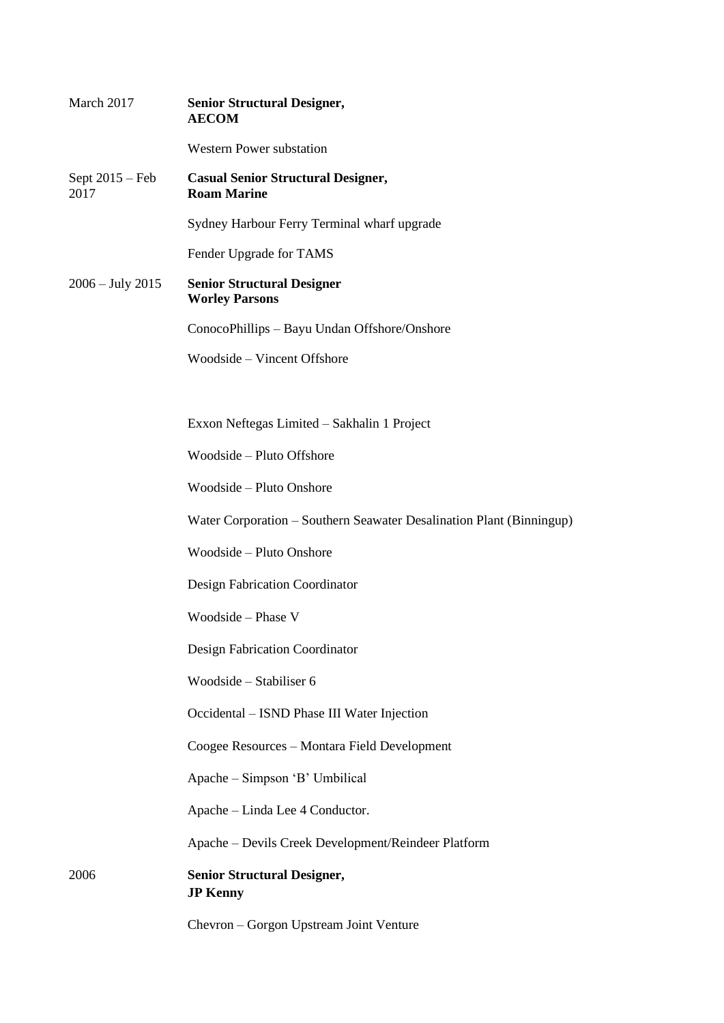| March 2017                | <b>Senior Structural Designer,</b><br><b>AECOM</b>                   |
|---------------------------|----------------------------------------------------------------------|
|                           | <b>Western Power substation</b>                                      |
| Sept $2015 - Feb$<br>2017 | <b>Casual Senior Structural Designer,</b><br><b>Roam Marine</b>      |
|                           | Sydney Harbour Ferry Terminal wharf upgrade                          |
|                           | Fender Upgrade for TAMS                                              |
| $2006 - July 2015$        | <b>Senior Structural Designer</b><br><b>Worley Parsons</b>           |
|                           | ConocoPhillips - Bayu Undan Offshore/Onshore                         |
|                           | Woodside – Vincent Offshore                                          |
|                           |                                                                      |
|                           | Exxon Neftegas Limited - Sakhalin 1 Project                          |
|                           | Woodside - Pluto Offshore                                            |
|                           | Woodside - Pluto Onshore                                             |
|                           | Water Corporation – Southern Seawater Desalination Plant (Binningup) |
|                           | Woodside - Pluto Onshore                                             |
|                           | Design Fabrication Coordinator                                       |
|                           | Woodside - Phase V                                                   |
|                           | Design Fabrication Coordinator                                       |
|                           | Woodside - Stabiliser 6                                              |
|                           | Occidental – ISND Phase III Water Injection                          |
|                           | Coogee Resources - Montara Field Development                         |
|                           | Apache – Simpson 'B' Umbilical                                       |
|                           | Apache - Linda Lee 4 Conductor.                                      |
|                           | Apache – Devils Creek Development/Reindeer Platform                  |
| 2006                      | <b>Senior Structural Designer,</b><br><b>JP Kenny</b>                |
|                           | Chevron - Gorgon Upstream Joint Venture                              |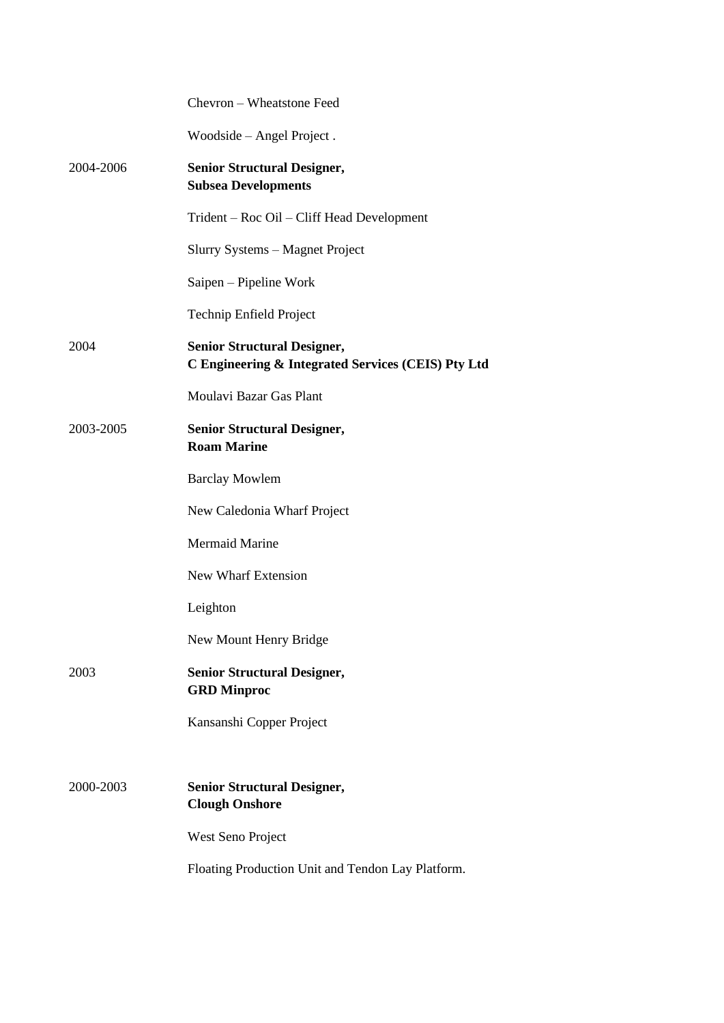|           | Chevron - Wheatstone Feed                                                                |
|-----------|------------------------------------------------------------------------------------------|
|           | Woodside – Angel Project.                                                                |
| 2004-2006 | <b>Senior Structural Designer,</b><br><b>Subsea Developments</b>                         |
|           | Trident – Roc Oil – Cliff Head Development                                               |
|           | Slurry Systems - Magnet Project                                                          |
|           | Saipen – Pipeline Work                                                                   |
|           | Technip Enfield Project                                                                  |
| 2004      | <b>Senior Structural Designer,</b><br>C Engineering & Integrated Services (CEIS) Pty Ltd |
|           | Moulavi Bazar Gas Plant                                                                  |
| 2003-2005 | <b>Senior Structural Designer,</b><br><b>Roam Marine</b>                                 |
|           | <b>Barclay Mowlem</b>                                                                    |
|           | New Caledonia Wharf Project                                                              |
|           | <b>Mermaid Marine</b>                                                                    |
|           | <b>New Wharf Extension</b>                                                               |
|           | Leighton                                                                                 |
|           | New Mount Henry Bridge                                                                   |
| 2003      | <b>Senior Structural Designer,</b><br><b>GRD</b> Minproc                                 |
|           | Kansanshi Copper Project                                                                 |
|           |                                                                                          |
| 2000-2003 | <b>Senior Structural Designer,</b><br><b>Clough Onshore</b>                              |
|           | West Seno Project                                                                        |
|           | Floating Production Unit and Tendon Lay Platform.                                        |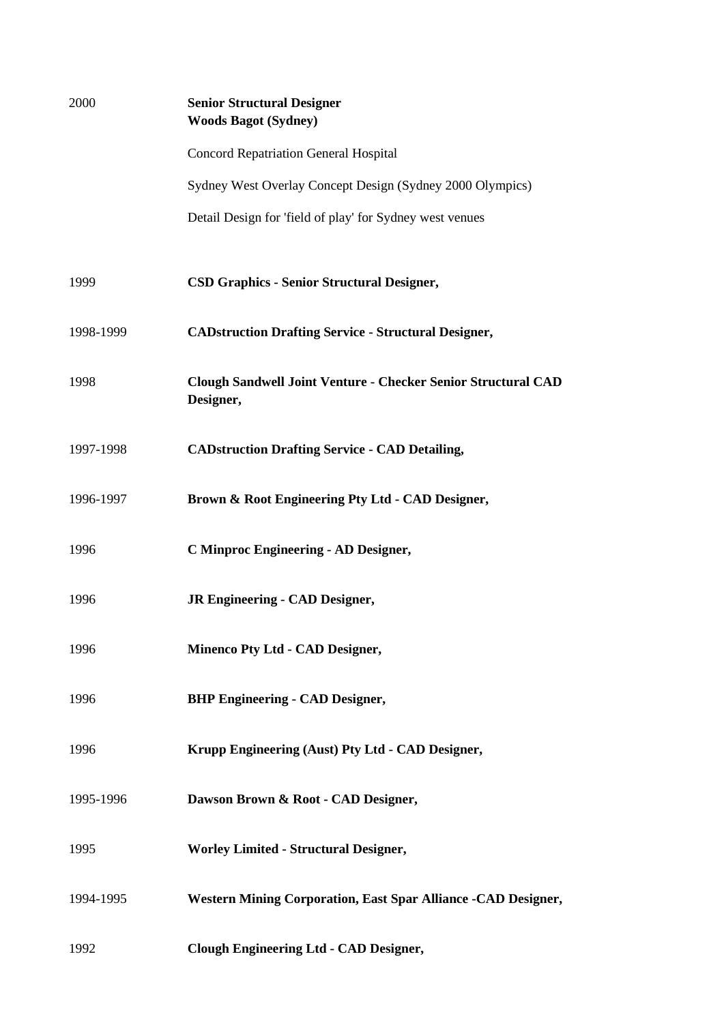| 2000      | <b>Senior Structural Designer</b><br><b>Woods Bagot (Sydney)</b>           |
|-----------|----------------------------------------------------------------------------|
|           | <b>Concord Repatriation General Hospital</b>                               |
|           | Sydney West Overlay Concept Design (Sydney 2000 Olympics)                  |
|           | Detail Design for 'field of play' for Sydney west venues                   |
| 1999      | <b>CSD Graphics - Senior Structural Designer,</b>                          |
| 1998-1999 | <b>CADstruction Drafting Service - Structural Designer,</b>                |
| 1998      | Clough Sandwell Joint Venture - Checker Senior Structural CAD<br>Designer, |
| 1997-1998 | <b>CADstruction Drafting Service - CAD Detailing,</b>                      |
| 1996-1997 | Brown & Root Engineering Pty Ltd - CAD Designer,                           |
| 1996      | <b>C Minproc Engineering - AD Designer,</b>                                |
| 1996      | <b>JR Engineering - CAD Designer,</b>                                      |
| 1996      | Minenco Pty Ltd - CAD Designer,                                            |
| 1996      | <b>BHP Engineering - CAD Designer,</b>                                     |
| 1996      | Krupp Engineering (Aust) Pty Ltd - CAD Designer,                           |
| 1995-1996 | Dawson Brown & Root - CAD Designer,                                        |
| 1995      | <b>Worley Limited - Structural Designer,</b>                               |
| 1994-1995 | <b>Western Mining Corporation, East Spar Alliance -CAD Designer,</b>       |
| 1992      | <b>Clough Engineering Ltd - CAD Designer,</b>                              |